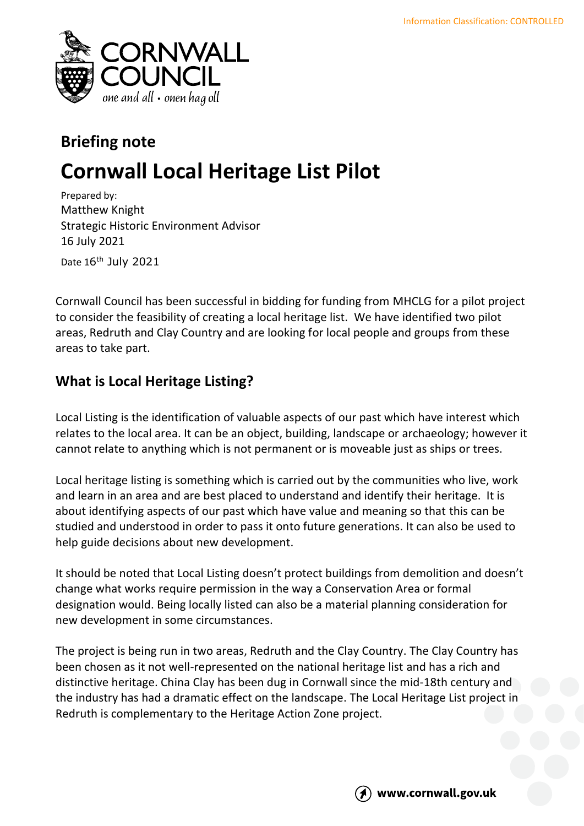

# **Briefing note Cornwall Local Heritage List Pilot**

Prepared by: Matthew Knight Strategic Historic Environment Advisor 16 July 2021 Date 16<sup>th</sup> July 2021

Cornwall Council has been successful in bidding for funding from MHCLG for a pilot project to consider the feasibility of creating a local heritage list. We have identified two pilot areas, Redruth and Clay Country and are looking for local people and groups from these areas to take part.

## **What is Local Heritage Listing?**

Local Listing is the identification of valuable aspects of our past which have interest which relates to the local area. It can be an object, building, landscape or archaeology; however it cannot relate to anything which is not permanent or is moveable just as ships or trees.

Local heritage listing is something which is carried out by the communities who live, work and learn in an area and are best placed to understand and identify their heritage. It is about identifying aspects of our past which have value and meaning so that this can be studied and understood in order to pass it onto future generations. It can also be used to help guide decisions about new development.

It should be noted that Local Listing doesn't protect buildings from demolition and doesn't change what works require permission in the way a Conservation Area or formal designation would. Being locally listed can also be a material planning consideration for new development in some circumstances.

The project is being run in two areas, Redruth and the Clay Country. The Clay Country has been chosen as it not well-represented on the national heritage list and has a rich and distinctive heritage. China Clay has been dug in Cornwall since the mid-18th century and the industry has had a dramatic effect on the landscape. The Local Heritage List project in Redruth is complementary to the Heritage Action Zone project.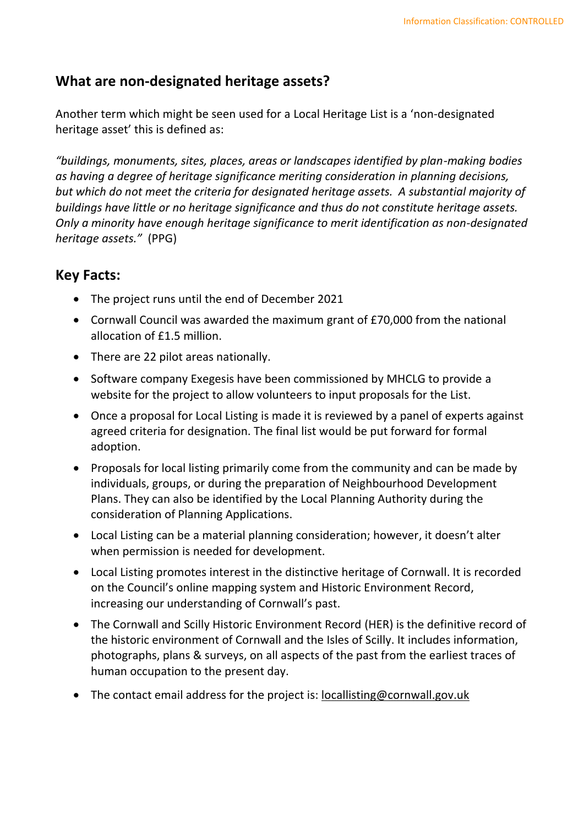### **What are non-designated heritage assets?**

Another term which might be seen used for a Local Heritage List is a 'non-designated heritage asset' this is defined as:

*"buildings, monuments, sites, places, areas or landscapes identified by plan-making bodies as having a degree of heritage significance meriting consideration in planning decisions, but which do not meet the criteria for designated heritage assets. A substantial majority of buildings have little or no heritage significance and thus do not constitute heritage assets. Only a minority have enough heritage significance to merit identification as non-designated heritage assets."* (PPG)

#### **Key Facts:**

- The project runs until the end of December 2021
- Cornwall Council was awarded the maximum grant of £70,000 from the national allocation of £1.5 million.
- There are 22 pilot areas nationally.
- Software company Exegesis have been commissioned by MHCLG to provide a website for the project to allow volunteers to input proposals for the List.
- Once a proposal for Local Listing is made it is reviewed by a panel of experts against agreed criteria for designation. The final list would be put forward for formal adoption.
- Proposals for local listing primarily come from the community and can be made by individuals, groups, or during the preparation of Neighbourhood Development Plans. They can also be identified by the Local Planning Authority during the consideration of Planning Applications.
- Local Listing can be a material planning consideration; however, it doesn't alter when permission is needed for development.
- Local Listing promotes interest in the distinctive heritage of Cornwall. It is recorded on the Council's online mapping system and Historic Environment Record, increasing our understanding of Cornwall's past.
- The Cornwall and Scilly Historic Environment Record (HER) is the definitive record of the historic environment of Cornwall and the Isles of Scilly. It includes information, photographs, plans & surveys, on all aspects of the past from the earliest traces of human occupation to the present day.
- The contact email address for the project is: [locallisting@cornwall.gov.uk](mailto:locallisting@cornwall.gov.uk)